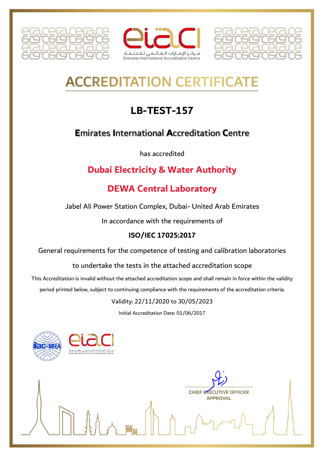





# **ACCREDITATION CERTIFICAT**

# **LB-TEST-157**

# **Emirates International Accreditation Centre**

has accredited

# **Dubai Electricity & Water Authority**

# **DEWA Central Laboratory**

Jabel Ali Power Station Complex, Dubai- United Arab Emirates

In accordance with the requirements of

#### ISO/IEC 17025:2017

General requirements for the competence of testing and calibration laboratories

to undertake the tests in the attached accreditation scope

This Accreditation is invalid without the attached accreditation scope and shall remain in force within the validity period printed below, subject to continuing compliance with the requirements of the accreditation criteria.

#### Validity: 22/11/2020 to 30/05/2023

Initial Accreditation Date: 01/06/2017



**CHIEF EXECUTIVE OFFICER APPROVAL**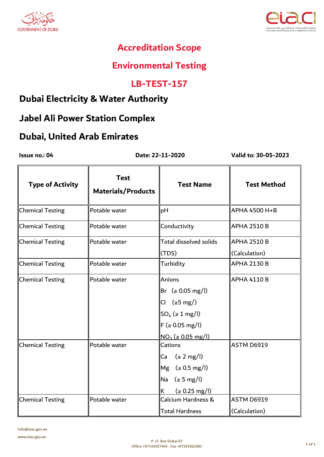



# **Environmental Testing**

#### **LB-TEST-157**

#### **Dubai Electricity & Water Authority**

# **Jabel Ali Power Station Complex**

#### **Dubai, United Arab Emirates**

Issue no.: 04

Date: 22-11-2020

| <b>Type of Activity</b> | <b>Test</b><br><b>Materials/Products</b> | <b>Test Name</b>                 | <b>Test Method</b> |
|-------------------------|------------------------------------------|----------------------------------|--------------------|
| <b>Chemical Testing</b> | Potable water                            | pH                               | APHA 4500 H+B      |
| <b>Chemical Testing</b> | Potable water                            | Conductivity                     | <b>APHA 2510 B</b> |
| <b>Chemical Testing</b> | Potable water                            | Total dissolved solids           | <b>APHA 2510 B</b> |
|                         |                                          | (TDS)                            | (Calculation)      |
| <b>Chemical Testing</b> | Potable water                            | Turbidity                        | <b>APHA 2130 B</b> |
| <b>Chemical Testing</b> | Potable water                            | Anions                           | <b>APHA 4110 B</b> |
|                         |                                          | Br (≥ 0.05 mg/l)                 |                    |
|                         |                                          | $(\geq 5 \text{ mg})$<br>Cl      |                    |
|                         |                                          | $SO_4$ ( $\geq 1$ mg/l)          |                    |
|                         |                                          | $F ( \ge 0.05$ mg/l)             |                    |
|                         |                                          | $NO_3$ ( $\geq$ 0.05 mg/l)       |                    |
| <b>Chemical Testing</b> | Potable water                            | Cations                          | ASTM D6919         |
|                         |                                          | (z 2 mg/l)<br>Ca                 |                    |
|                         |                                          | (2 0.5 mg/l)<br>Mg               |                    |
|                         |                                          | (z 5 mg/l)<br>Na                 |                    |
|                         |                                          | $( \ge 0.25 \text{ mg/l} )$<br>K |                    |
| <b>Chemical Testing</b> | Potable water                            | Calcium Hardness &               | ASTM D6919         |
|                         |                                          | <b>Total Hardness</b>            | (Calculation)      |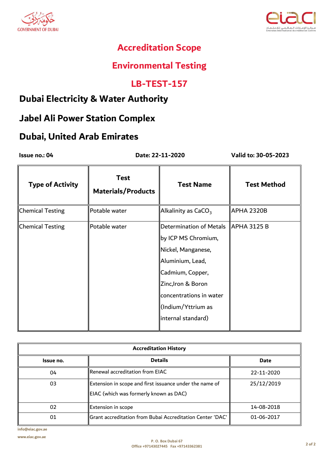



# **Environmental Testing**

#### **LB-TEST-157**

#### **Dubai Electricity & Water Authority**

# **Jabel Ali Power Station Complex**

#### **Dubai, United Arab Emirates**

 **Date: 22-11-2020**

**Issue no.: 04 Valid to: 30-05-2023**

| <b>Type of Activity</b> | <b>Test</b><br><b>Materials/Products</b> | <b>Test Name</b>                                                                                                                                                                     | <b>Test Method</b> |
|-------------------------|------------------------------------------|--------------------------------------------------------------------------------------------------------------------------------------------------------------------------------------|--------------------|
| <b>Chemical Testing</b> | Potable water                            | Alkalinity as $CaCO3$                                                                                                                                                                | <b>APHA 2320B</b>  |
| <b>Chemical Testing</b> | Potable water                            | Determination of Metals<br>by ICP MS Chromium,<br>Nickel, Manganese,<br>Aluminium, Lead,<br>Cadmium, Copper,<br>Zinc, Iron & Boron<br>concentrations in water<br>∣(Indium/Yttrium as | <b>APHA 3125 B</b> |
|                         |                                          | internal standard)                                                                                                                                                                   |                    |

| <b>Accreditation History</b> |                                                                                                   |            |  |
|------------------------------|---------------------------------------------------------------------------------------------------|------------|--|
| Issue no.                    | <b>Details</b>                                                                                    | Date       |  |
| 04                           | $\,$ Renewal accreditation from EIAC $\,$                                                         | 22-11-2020 |  |
| 03                           | Extension in scope and first issuance under the name of<br>EIAC (which was formerly known as DAC) | 25/12/2019 |  |
| 02                           | Extension in scope                                                                                | 14-08-2018 |  |
| 01                           | "Grant accreditation from Bubai Accreditation Center 'DAC                                         | 01-06-2017 |  |

**info@eiac.gov.ae**

**www.eiac.gov.ae**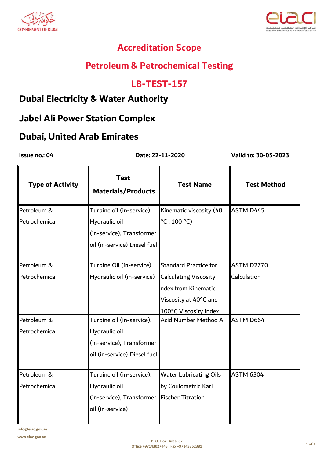



# **Petroleum & Petrochemical Testing**

#### **LB-TEST-157**

### **Dubai Electricity & Water Authority**

#### **Jabel Ali Power Station Complex**

#### **Dubai, United Arab Emirates**

Issue no.: 04

Date: 22-11-2020

| <b>Type of Activity</b> | <b>Test</b><br><b>Materials/Products</b>     | <b>Test Name</b>              | <b>Test Method</b> |
|-------------------------|----------------------------------------------|-------------------------------|--------------------|
| Petroleum &             | Turbine oil (in-service),                    | Kinematic viscosity (40       | ASTM D445          |
| Petrochemical           | Hydraulic oil                                | $\degree$ C, 100 $\degree$ C) |                    |
|                         | (in-service), Transformer                    |                               |                    |
|                         | oil (in-service) Diesel fuel                 |                               |                    |
| Petroleum &             | Turbine Oil (in-service),                    | <b>Standard Practice for</b>  | ASTM D2770         |
| Petrochemical           | Hydraulic oil (in-service)                   | <b>Calculating Viscosity</b>  | Calculation        |
|                         |                                              | ndex from Kinematic           |                    |
|                         |                                              | Viscosity at 40°C and         |                    |
|                         |                                              | 100°C Viscosity Index         |                    |
| Petroleum &             | Turbine oil (in-service),                    | Acid Number Method A          | <b>ASTM D664</b>   |
| Petrochemical           | Hydraulic oil                                |                               |                    |
|                         | (in-service), Transformer                    |                               |                    |
|                         | oil (in-service) Diesel fuel                 |                               |                    |
| Petroleum &             | Turbine oil (in-service),                    | <b>Water Lubricating Oils</b> | <b>ASTM 6304</b>   |
| Petrochemical           | Hydraulic oil                                | by Coulometric Karl           |                    |
|                         | (in-service), Transformer  Fischer Titration |                               |                    |
|                         | oil (in-service)                             |                               |                    |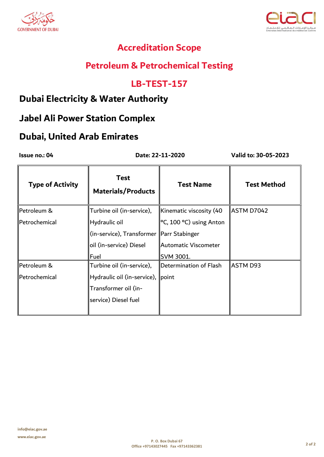



# **Petroleum & Petrochemical Testing**

#### **LB-TEST-157**

#### **Dubai Electricity & Water Authority**

# **Jabel Ali Power Station Complex**

# **Dubai, United Arab Emirates**

Issue no.: 04

Date: 22-11-2020

| <b>Type of Activity</b> | <b>Test</b><br><b>Materials/Products</b>   | <b>Test Name</b>         | <b>Test Method</b> |
|-------------------------|--------------------------------------------|--------------------------|--------------------|
| Petroleum &             | Turbine oil (in-service),                  | Kinematic viscosity (40  | ASTM D7042         |
| Petrochemical           | Hydraulic oil                              | ∥°C, 100 °C) using Anton |                    |
|                         | (in-service), Transformer   Parr Stabinger |                          |                    |
|                         | oil (in-service) Diesel                    | Automatic Viscometer     |                    |
|                         | Fuel                                       | SVM 3001.                |                    |
| Petroleum &             | Turbine oil (in-service),                  | Determination of Flash   | ASTM D93           |
| Petrochemical           | Hydraulic oil (in-service), point          |                          |                    |
|                         | Transformer oil (in-                       |                          |                    |
|                         | service) Diesel fuel                       |                          |                    |